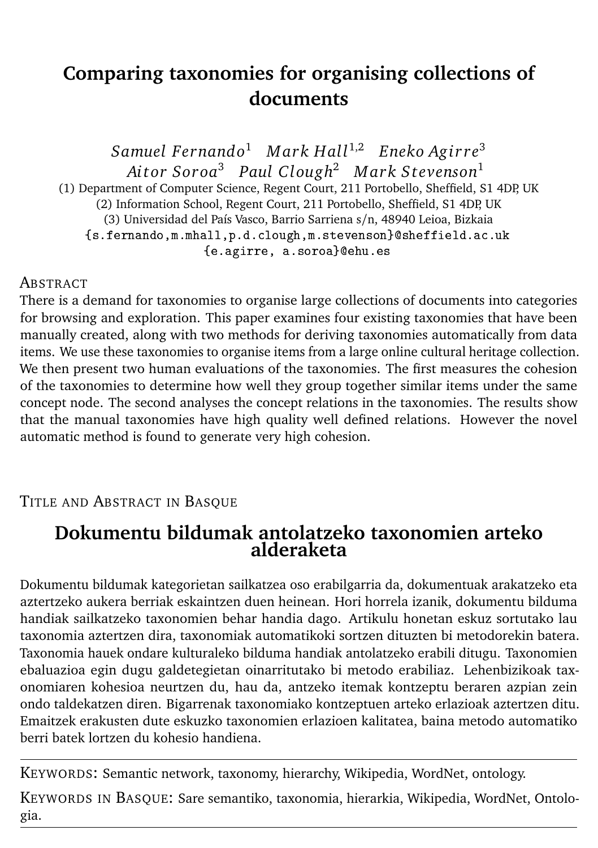# **Comparing taxonomies for organising collections of documents**

*Samuel Fernando*<sup>1</sup> *Mark Hall*<sup>1,2</sup> *Eneko Agirre*<sup>3</sup> *Ai t or Sor oa*<sup>3</sup> *Paul Clough*<sup>2</sup> *M ark S tevenson*<sup>1</sup> (1) Department of Computer Science, Regent Court, 211 Portobello, Sheffield, S1 4DP, UK (2) Information School, Regent Court, 211 Portobello, Sheffield, S1 4DP, UK (3) Universidad del País Vasco, Barrio Sarriena s/n, 48940 Leioa, Bizkaia {s.fernando,m.mhall,p.d.clough,m.stevenson}@sheffield.ac.uk {e.agirre, a.soroa}@ehu.es

#### **ABSTRACT**

There is a demand for taxonomies to organise large collections of documents into categories for browsing and exploration. This paper examines four existing taxonomies that have been manually created, along with two methods for deriving taxonomies automatically from data items. We use these taxonomies to organise items from a large online cultural heritage collection. We then present two human evaluations of the taxonomies. The first measures the cohesion of the taxonomies to determine how well they group together similar items under the same concept node. The second analyses the concept relations in the taxonomies. The results show that the manual taxonomies have high quality well defined relations. However the novel automatic method is found to generate very high cohesion.

#### TITLE AND ABSTRACT IN BASQUE

### **Dokumentu bildumak antolatzeko taxonomien arteko alderaketa**

Dokumentu bildumak kategorietan sailkatzea oso erabilgarria da, dokumentuak arakatzeko eta aztertzeko aukera berriak eskaintzen duen heinean. Hori horrela izanik, dokumentu bilduma handiak sailkatzeko taxonomien behar handia dago. Artikulu honetan eskuz sortutako lau taxonomia aztertzen dira, taxonomiak automatikoki sortzen dituzten bi metodorekin batera. Taxonomia hauek ondare kulturaleko bilduma handiak antolatzeko erabili ditugu. Taxonomien ebaluazioa egin dugu galdetegietan oinarritutako bi metodo erabiliaz. Lehenbizikoak taxonomiaren kohesioa neurtzen du, hau da, antzeko itemak kontzeptu beraren azpian zein ondo taldekatzen diren. Bigarrenak taxonomiako kontzeptuen arteko erlazioak aztertzen ditu. Emaitzek erakusten dute eskuzko taxonomien erlazioen kalitatea, baina metodo automatiko berri batek lortzen du kohesio handiena.

KEYWORDS: Semantic network, taxonomy, hierarchy, Wikipedia, WordNet, ontology.

KEYWORDS IN BASQUE: Sare semantiko, taxonomia, hierarkia, Wikipedia, WordNet, Ontologia.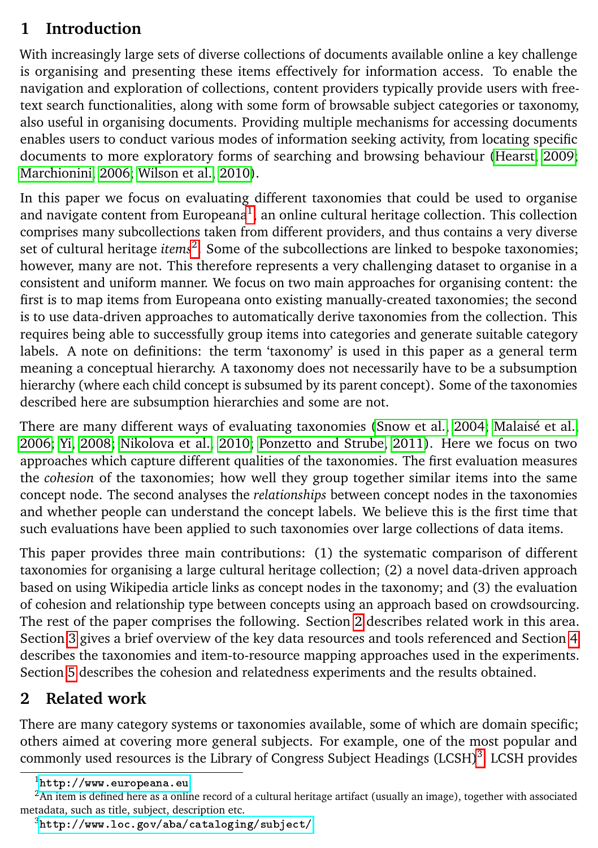## **1 Introduction**

With increasingly large sets of diverse collections of documents available online a key challenge is organising and presenting these items effectively for information access. To enable the navigation and exploration of collections, content providers typically provide users with freetext search functionalities, along with some form of browsable subject categories or taxonomy, also useful in organising documents. Providing multiple mechanisms for accessing documents enables users to conduct various modes of information seeking activity, from locating specific documents to more exploratory forms of searching and browsing behaviour [\(Hearst, 2009;](#page-13-0) [Marchionini, 2006;](#page-14-0) [Wilson et al., 2010\)](#page-14-1).

In this paper we focus on evaluating different taxonomies that could be used to organise and navigate content from Europeana<sup>[1](#page-1-0)</sup>, an online cultural heritage collection. This collection comprises many subcollections taken from different providers, and thus contains a very diverse set of cultural heritage *items*[2](#page-1-1) . Some of the subcollections are linked to bespoke taxonomies; however, many are not. This therefore represents a very challenging dataset to organise in a consistent and uniform manner. We focus on two main approaches for organising content: the first is to map items from Europeana onto existing manually-created taxonomies; the second is to use data-driven approaches to automatically derive taxonomies from the collection. This requires being able to successfully group items into categories and generate suitable category labels. A note on definitions: the term 'taxonomy' is used in this paper as a general term meaning a conceptual hierarchy. A taxonomy does not necessarily have to be a subsumption hierarchy (where each child concept is subsumed by its parent concept). Some of the taxonomies described here are subsumption hierarchies and some are not.

There are many different ways of evaluating taxonomies [\(Snow et al., 2004;](#page-14-2) [Malaisé et al.,](#page-13-1) [2006;](#page-13-1) [Yi, 2008;](#page-14-3) [Nikolova et al., 2010;](#page-14-4) [Ponzetto and Strube, 2011\)](#page-14-5). Here we focus on two approaches which capture different qualities of the taxonomies. The first evaluation measures the *cohesion* of the taxonomies; how well they group together similar items into the same concept node. The second analyses the *relationships* between concept nodes in the taxonomies and whether people can understand the concept labels. We believe this is the first time that such evaluations have been applied to such taxonomies over large collections of data items.

This paper provides three main contributions: (1) the systematic comparison of different taxonomies for organising a large cultural heritage collection; (2) a novel data-driven approach based on using Wikipedia article links as concept nodes in the taxonomy; and (3) the evaluation of cohesion and relationship type between concepts using an approach based on crowdsourcing. The rest of the paper comprises the following. Section [2](#page-1-2) describes related work in this area. Section [3](#page-3-0) gives a brief overview of the key data resources and tools referenced and Section [4](#page-3-1) describes the taxonomies and item-to-resource mapping approaches used in the experiments. Section [5](#page-6-0) describes the cohesion and relatedness experiments and the results obtained.

## <span id="page-1-2"></span>**2 Related work**

There are many category systems or taxonomies available, some of which are domain specific; others aimed at covering more general subjects. For example, one of the most popular and commonly used resources is the Library of Congress Subject Headings (LCSH)<sup>[3](#page-1-3)</sup>. LCSH provides

<span id="page-1-1"></span><span id="page-1-0"></span> $1$ <http://www.europeana.eu>

 $<sup>2</sup>$ An item is defined here as a online record of a cultural heritage artifact (usually an image), together with associated</sup> metadata, such as title, subject, description etc.

<span id="page-1-3"></span> $3$ <http://www.loc.gov/aba/cataloging/subject/>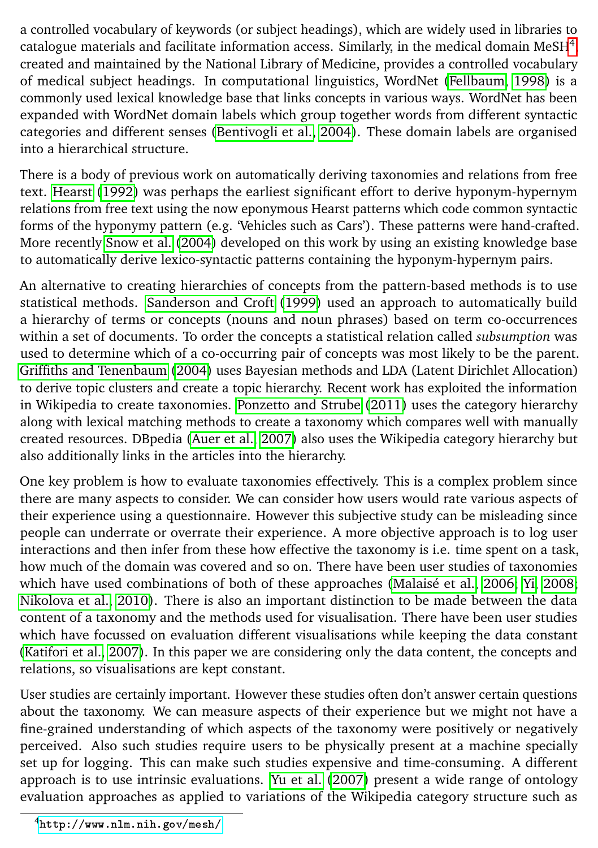a controlled vocabulary of keywords (or subject headings), which are widely used in libraries to catalogue materials and facilitate information access. Similarly, in the medical domain MeSH $^4$  $^4$ , created and maintained by the National Library of Medicine, provides a controlled vocabulary of medical subject headings. In computational linguistics, WordNet [\(Fellbaum, 1998\)](#page-13-2) is a commonly used lexical knowledge base that links concepts in various ways. WordNet has been expanded with WordNet domain labels which group together words from different syntactic categories and different senses [\(Bentivogli et al., 2004\)](#page-13-3). These domain labels are organised into a hierarchical structure.

There is a body of previous work on automatically deriving taxonomies and relations from free text. [Hearst](#page-13-4) [\(1992\)](#page-13-4) was perhaps the earliest significant effort to derive hyponym-hypernym relations from free text using the now eponymous Hearst patterns which code common syntactic forms of the hyponymy pattern (e.g. 'Vehicles such as Cars'). These patterns were hand-crafted. More recently [Snow et al.](#page-14-2) [\(2004\)](#page-14-2) developed on this work by using an existing knowledge base to automatically derive lexico-syntactic patterns containing the hyponym-hypernym pairs.

An alternative to creating hierarchies of concepts from the pattern-based methods is to use statistical methods. [Sanderson and Croft](#page-14-6) [\(1999\)](#page-14-6) used an approach to automatically build a hierarchy of terms or concepts (nouns and noun phrases) based on term co-occurrences within a set of documents. To order the concepts a statistical relation called *subsumption* was used to determine which of a co-occurring pair of concepts was most likely to be the parent. [Griffiths and Tenenbaum](#page-13-5) [\(2004\)](#page-13-5) uses Bayesian methods and LDA (Latent Dirichlet Allocation) to derive topic clusters and create a topic hierarchy. Recent work has exploited the information in Wikipedia to create taxonomies. [Ponzetto and Strube](#page-14-5) [\(2011\)](#page-14-5) uses the category hierarchy along with lexical matching methods to create a taxonomy which compares well with manually created resources. DBpedia [\(Auer et al., 2007\)](#page-13-6) also uses the Wikipedia category hierarchy but also additionally links in the articles into the hierarchy.

One key problem is how to evaluate taxonomies effectively. This is a complex problem since there are many aspects to consider. We can consider how users would rate various aspects of their experience using a questionnaire. However this subjective study can be misleading since people can underrate or overrate their experience. A more objective approach is to log user interactions and then infer from these how effective the taxonomy is i.e. time spent on a task, how much of the domain was covered and so on. There have been user studies of taxonomies which have used combinations of both of these approaches [\(Malaisé et al., 2006;](#page-13-1) [Yi, 2008;](#page-14-3) [Nikolova et al., 2010\)](#page-14-4). There is also an important distinction to be made between the data content of a taxonomy and the methods used for visualisation. There have been user studies which have focussed on evaluation different visualisations while keeping the data constant [\(Katifori et al., 2007\)](#page-13-7). In this paper we are considering only the data content, the concepts and relations, so visualisations are kept constant.

User studies are certainly important. However these studies often don't answer certain questions about the taxonomy. We can measure aspects of their experience but we might not have a fine-grained understanding of which aspects of the taxonomy were positively or negatively perceived. Also such studies require users to be physically present at a machine specially set up for logging. This can make such studies expensive and time-consuming. A different approach is to use intrinsic evaluations. [Yu et al.](#page-14-7) [\(2007\)](#page-14-7) present a wide range of ontology evaluation approaches as applied to variations of the Wikipedia category structure such as

<span id="page-2-0"></span><sup>4</sup><http://www.nlm.nih.gov/mesh/>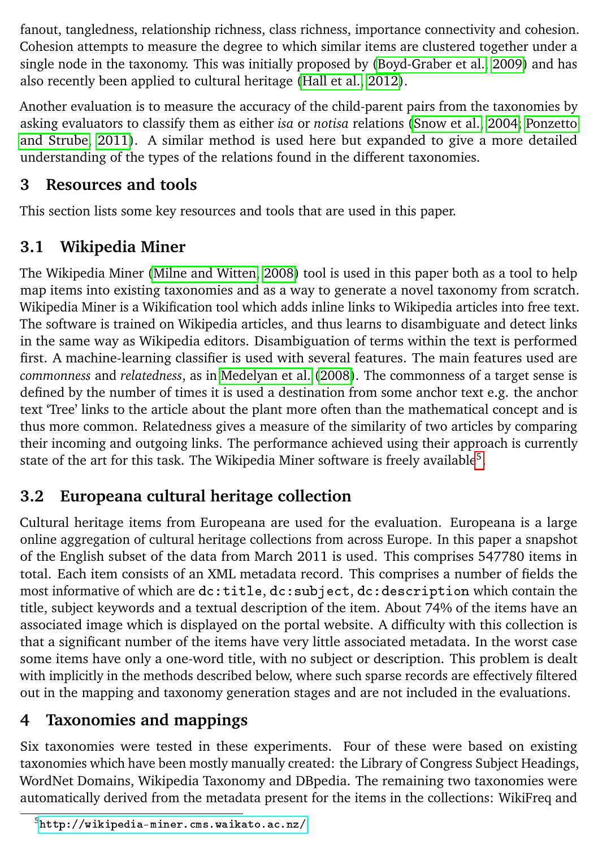fanout, tangledness, relationship richness, class richness, importance connectivity and cohesion. Cohesion attempts to measure the degree to which similar items are clustered together under a single node in the taxonomy. This was initially proposed by [\(Boyd-Graber et al., 2009\)](#page-13-8) and has also recently been applied to cultural heritage [\(Hall et al., 2012\)](#page-13-9).

Another evaluation is to measure the accuracy of the child-parent pairs from the taxonomies by asking evaluators to classify them as either *isa* or *notisa* relations [\(Snow et al., 2004;](#page-14-2) [Ponzetto](#page-14-5) [and Strube, 2011\)](#page-14-5). A similar method is used here but expanded to give a more detailed understanding of the types of the relations found in the different taxonomies.

## <span id="page-3-0"></span>**3 Resources and tools**

This section lists some key resources and tools that are used in this paper.

# <span id="page-3-3"></span>**3.1 Wikipedia Miner**

The Wikipedia Miner [\(Milne and Witten, 2008\)](#page-14-8) tool is used in this paper both as a tool to help map items into existing taxonomies and as a way to generate a novel taxonomy from scratch. Wikipedia Miner is a Wikification tool which adds inline links to Wikipedia articles into free text. The software is trained on Wikipedia articles, and thus learns to disambiguate and detect links in the same way as Wikipedia editors. Disambiguation of terms within the text is performed first. A machine-learning classifier is used with several features. The main features used are *commonness* and *relatedness*, as in [Medelyan et al.](#page-14-9) [\(2008\)](#page-14-9). The commonness of a target sense is defined by the number of times it is used a destination from some anchor text e.g. the anchor text 'Tree' links to the article about the plant more often than the mathematical concept and is thus more common. Relatedness gives a measure of the similarity of two articles by comparing their incoming and outgoing links. The performance achieved using their approach is currently state of the art for this task. The Wikipedia Miner software is freely available<sup>[5](#page-3-2)</sup>.

## **3.2 Europeana cultural heritage collection**

Cultural heritage items from Europeana are used for the evaluation. Europeana is a large online aggregation of cultural heritage collections from across Europe. In this paper a snapshot of the English subset of the data from March 2011 is used. This comprises 547780 items in total. Each item consists of an XML metadata record. This comprises a number of fields the most informative of which are dc:title, dc:subject, dc:description which contain the title, subject keywords and a textual description of the item. About 74% of the items have an associated image which is displayed on the portal website. A difficulty with this collection is that a significant number of the items have very little associated metadata. In the worst case some items have only a one-word title, with no subject or description. This problem is dealt with implicitly in the methods described below, where such sparse records are effectively filtered out in the mapping and taxonomy generation stages and are not included in the evaluations.

# <span id="page-3-1"></span>**4 Taxonomies and mappings**

Six taxonomies were tested in these experiments. Four of these were based on existing taxonomies which have been mostly manually created: the Library of Congress Subject Headings, WordNet Domains, Wikipedia Taxonomy and DBpedia. The remaining two taxonomies were automatically derived from the metadata present for the items in the collections: WikiFreq and

<span id="page-3-2"></span><sup>5</sup><http://wikipedia-miner.cms.waikato.ac.nz/>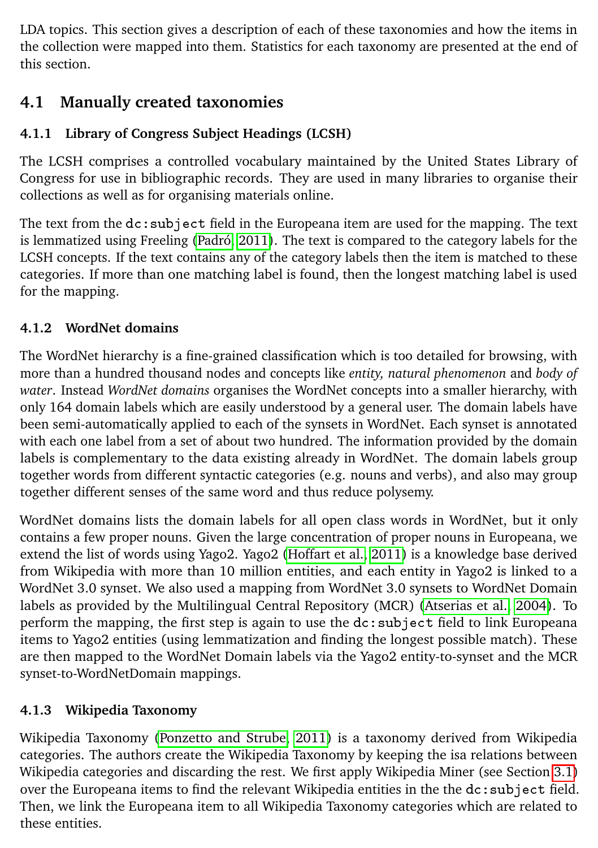LDA topics. This section gives a description of each of these taxonomies and how the items in the collection were mapped into them. Statistics for each taxonomy are presented at the end of this section.

## **4.1 Manually created taxonomies**

#### **4.1.1 Library of Congress Subject Headings (LCSH)**

The LCSH comprises a controlled vocabulary maintained by the United States Library of Congress for use in bibliographic records. They are used in many libraries to organise their collections as well as for organising materials online.

The text from the dc:subject field in the Europeana item are used for the mapping. The text is lemmatized using Freeling [\(Padró, 2011\)](#page-14-10). The text is compared to the category labels for the LCSH concepts. If the text contains any of the category labels then the item is matched to these categories. If more than one matching label is found, then the longest matching label is used for the mapping.

#### **4.1.2 WordNet domains**

The WordNet hierarchy is a fine-grained classification which is too detailed for browsing, with more than a hundred thousand nodes and concepts like *entity, natural phenomenon* and *body of water*. Instead *WordNet domains* organises the WordNet concepts into a smaller hierarchy, with only 164 domain labels which are easily understood by a general user. The domain labels have been semi-automatically applied to each of the synsets in WordNet. Each synset is annotated with each one label from a set of about two hundred. The information provided by the domain labels is complementary to the data existing already in WordNet. The domain labels group together words from different syntactic categories (e.g. nouns and verbs), and also may group together different senses of the same word and thus reduce polysemy.

WordNet domains lists the domain labels for all open class words in WordNet, but it only contains a few proper nouns. Given the large concentration of proper nouns in Europeana, we extend the list of words using Yago2. Yago2 [\(Hoffart et al., 2011\)](#page-13-10) is a knowledge base derived from Wikipedia with more than 10 million entities, and each entity in Yago2 is linked to a WordNet 3.0 synset. We also used a mapping from WordNet 3.0 synsets to WordNet Domain labels as provided by the Multilingual Central Repository (MCR) [\(Atserias et al., 2004\)](#page-13-11). To perform the mapping, the first step is again to use the dc:subject field to link Europeana items to Yago2 entities (using lemmatization and finding the longest possible match). These are then mapped to the WordNet Domain labels via the Yago2 entity-to-synset and the MCR synset-to-WordNetDomain mappings.

#### **4.1.3 Wikipedia Taxonomy**

Wikipedia Taxonomy [\(Ponzetto and Strube, 2011\)](#page-14-5) is a taxonomy derived from Wikipedia categories. The authors create the Wikipedia Taxonomy by keeping the isa relations between Wikipedia categories and discarding the rest. We first apply Wikipedia Miner (see Section [3.1\)](#page-3-3) over the Europeana items to find the relevant Wikipedia entities in the the dc:subject field. Then, we link the Europeana item to all Wikipedia Taxonomy categories which are related to these entities.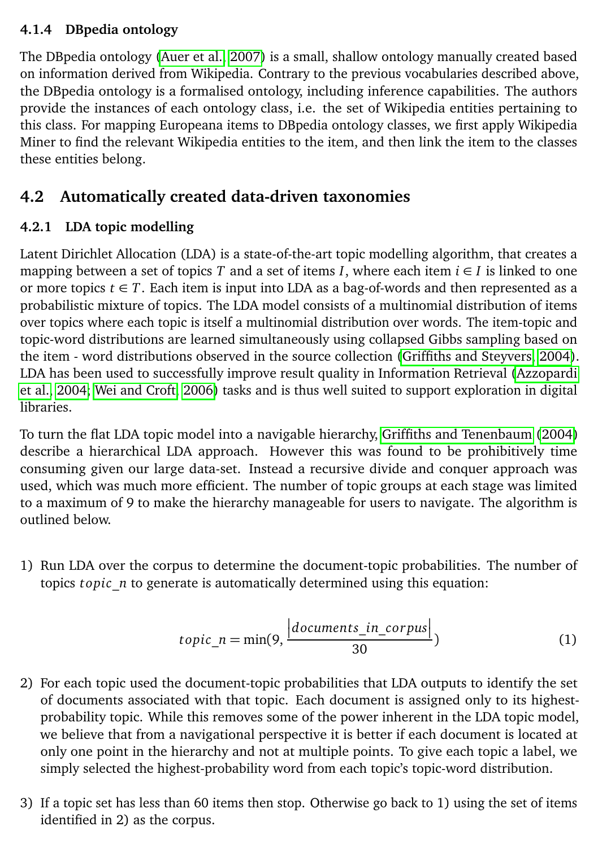#### **4.1.4 DBpedia ontology**

The DBpedia ontology [\(Auer et al., 2007\)](#page-13-6) is a small, shallow ontology manually created based on information derived from Wikipedia. Contrary to the previous vocabularies described above, the DBpedia ontology is a formalised ontology, including inference capabilities. The authors provide the instances of each ontology class, i.e. the set of Wikipedia entities pertaining to this class. For mapping Europeana items to DBpedia ontology classes, we first apply Wikipedia Miner to find the relevant Wikipedia entities to the item, and then link the item to the classes these entities belong.

### **4.2 Automatically created data-driven taxonomies**

#### **4.2.1 LDA topic modelling**

Latent Dirichlet Allocation (LDA) is a state-of-the-art topic modelling algorithm, that creates a mapping between a set of topics *T* and a set of items *I*, where each item  $i \in I$  is linked to one or more topics  $t \in T$ . Each item is input into LDA as a bag-of-words and then represented as a probabilistic mixture of topics. The LDA model consists of a multinomial distribution of items over topics where each topic is itself a multinomial distribution over words. The item-topic and topic-word distributions are learned simultaneously using collapsed Gibbs sampling based on the item - word distributions observed in the source collection [\(Griffiths and Steyvers, 2004\)](#page-13-12). LDA has been used to successfully improve result quality in Information Retrieval [\(Azzopardi](#page-13-13) [et al., 2004;](#page-13-13) [Wei and Croft, 2006\)](#page-14-11) tasks and is thus well suited to support exploration in digital libraries.

To turn the flat LDA topic model into a navigable hierarchy, [Griffiths and Tenenbaum](#page-13-5) [\(2004\)](#page-13-5) describe a hierarchical LDA approach. However this was found to be prohibitively time consuming given our large data-set. Instead a recursive divide and conquer approach was used, which was much more efficient. The number of topic groups at each stage was limited to a maximum of 9 to make the hierarchy manageable for users to navigate. The algorithm is outlined below.

1) Run LDA over the corpus to determine the document-topic probabilities. The number of topics *t opic*\_*n* to generate is automatically determined using this equation:

$$
topic\_n = \min(9, \frac{| documents\_in\_corpus|}{30})
$$
 (1)

- 2) For each topic used the document-topic probabilities that LDA outputs to identify the set of documents associated with that topic. Each document is assigned only to its highestprobability topic. While this removes some of the power inherent in the LDA topic model, we believe that from a navigational perspective it is better if each document is located at only one point in the hierarchy and not at multiple points. To give each topic a label, we simply selected the highest-probability word from each topic's topic-word distribution.
- 3) If a topic set has less than 60 items then stop. Otherwise go back to 1) using the set of items identified in 2) as the corpus.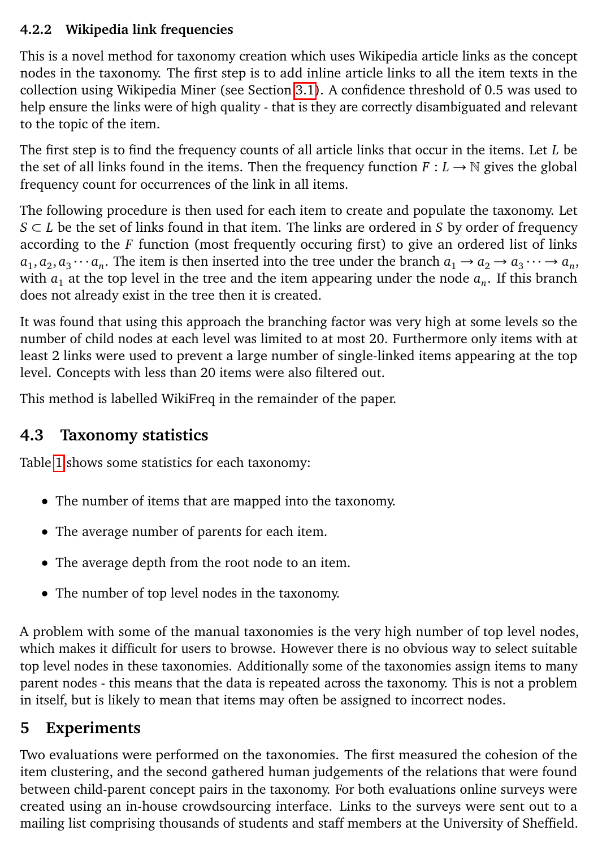#### **4.2.2 Wikipedia link frequencies**

This is a novel method for taxonomy creation which uses Wikipedia article links as the concept nodes in the taxonomy. The first step is to add inline article links to all the item texts in the collection using Wikipedia Miner (see Section [3.1\)](#page-3-3). A confidence threshold of 0.5 was used to help ensure the links were of high quality - that is they are correctly disambiguated and relevant to the topic of the item.

The first step is to find the frequency counts of all article links that occur in the items. Let *L* be the set of all links found in the items. Then the frequency function  $F: L \to \mathbb{N}$  gives the global frequency count for occurrences of the link in all items.

The following procedure is then used for each item to create and populate the taxonomy. Let *S* ⊂ *L* be the set of links found in that item. The links are ordered in *S* by order of frequency according to the *F* function (most frequently occuring first) to give an ordered list of links  $a_1, a_2, a_3 \cdots a_n$ . The item is then inserted into the tree under the branch  $a_1 \rightarrow a_2 \rightarrow a_3 \cdots \rightarrow a_n$ , with  $a_1$  at the top level in the tree and the item appearing under the node  $a_n$ . If this branch does not already exist in the tree then it is created.

It was found that using this approach the branching factor was very high at some levels so the number of child nodes at each level was limited to at most 20. Furthermore only items with at least 2 links were used to prevent a large number of single-linked items appearing at the top level. Concepts with less than 20 items were also filtered out.

This method is labelled WikiFreq in the remainder of the paper.

### **4.3 Taxonomy statistics**

Table [1](#page-7-0) shows some statistics for each taxonomy:

- The number of items that are mapped into the taxonomy.
- The average number of parents for each item.
- The average depth from the root node to an item.
- The number of top level nodes in the taxonomy.

A problem with some of the manual taxonomies is the very high number of top level nodes, which makes it difficult for users to browse. However there is no obvious way to select suitable top level nodes in these taxonomies. Additionally some of the taxonomies assign items to many parent nodes - this means that the data is repeated across the taxonomy. This is not a problem in itself, but is likely to mean that items may often be assigned to incorrect nodes.

## <span id="page-6-0"></span>**5 Experiments**

Two evaluations were performed on the taxonomies. The first measured the cohesion of the item clustering, and the second gathered human judgements of the relations that were found between child-parent concept pairs in the taxonomy. For both evaluations online surveys were created using an in-house crowdsourcing interface. Links to the surveys were sent out to a mailing list comprising thousands of students and staff members at the University of Sheffield.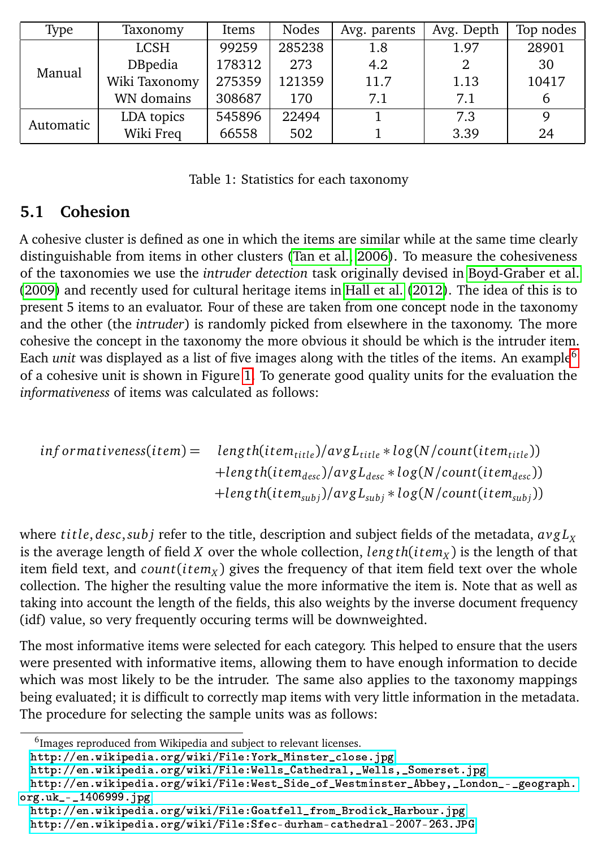| Type      | Taxonomy      | Items  | Nodes  | Avg. parents | Avg. Depth | Top nodes |
|-----------|---------------|--------|--------|--------------|------------|-----------|
| Manual    | <b>LCSH</b>   | 99259  | 285238 | 1.8          | 1.97       | 28901     |
|           | DBpedia       | 178312 | 273    | 4.2          |            | 30        |
|           | Wiki Taxonomy | 275359 | 121359 | 11.7         | 1.13       | 10417     |
|           | WN domains    | 308687 | 170    | 7.1          | 7.1        | b         |
| Automatic | LDA topics    | 545896 | 22494  |              | 7.3        | 9         |
|           | Wiki Freq     | 66558  | 502    |              | 3.39       | 24        |

<span id="page-7-0"></span>Table 1: Statistics for each taxonomy

### **5.1 Cohesion**

A cohesive cluster is defined as one in which the items are similar while at the same time clearly distinguishable from items in other clusters [\(Tan et al., 2006\)](#page-14-12). To measure the cohesiveness of the taxonomies we use the *intruder detection* task originally devised in [Boyd-Graber et al.](#page-13-8) [\(2009\)](#page-13-8) and recently used for cultural heritage items in [Hall et al.](#page-13-9) [\(2012\)](#page-13-9). The idea of this is to present 5 items to an evaluator. Four of these are taken from one concept node in the taxonomy and the other (the *intruder*) is randomly picked from elsewhere in the taxonomy. The more cohesive the concept in the taxonomy the more obvious it should be which is the intruder item. Each *unit* was displayed as a list of five images along with the titles of the items. An example<sup>[6](#page-7-1)</sup> of a cohesive unit is shown in Figure [1.](#page-8-0) To generate good quality units for the evaluation the *informativeness* of items was calculated as follows:

$$
information of a function is given by the function int of the function int int int int int int int int int int int int int int int int int int int int int int int int int int int int int int int int int int int int int int int int int int int int int int int int int int int int int int int int int int int int int int int int int int int int int int int int int int int int int int int int int int int int int int int int int int int int int int int int int int int int int int int int int int
$$

where *title*, *desc*,*subj* refer to the title, description and subject fields of the metadata,  $a\gamma g L_x$ is the average length of field *X* over the whole collection, *leng th*(*i tem<sup>X</sup>* ) is the length of that item field text, and *count*(*i tem<sup>X</sup>* ) gives the frequency of that item field text over the whole collection. The higher the resulting value the more informative the item is. Note that as well as taking into account the length of the fields, this also weights by the inverse document frequency (idf) value, so very frequently occuring terms will be downweighted.

The most informative items were selected for each category. This helped to ensure that the users were presented with informative items, allowing them to have enough information to decide which was most likely to be the intruder. The same also applies to the taxonomy mappings being evaluated; it is difficult to correctly map items with very little information in the metadata. The procedure for selecting the sample units was as follows:

<span id="page-7-1"></span><sup>&</sup>lt;sup>6</sup>Images reproduced from Wikipedia and subject to relevant licenses.

[http://en.wikipedia.org/wiki/File:York\\_Minster\\_close.jpg](http://en.wikipedia.org/wiki/File:York_Minster_close.jpg).

[http://en.wikipedia.org/wiki/File:Wells\\_Cathedral,\\_Wells,\\_Somerset.jpg](http://en.wikipedia.org/wiki/File:Wells_Cathedral,_Wells,_Somerset.jpg).

[http://en.wikipedia.org/wiki/File:West\\_Side\\_of\\_Westminster\\_Abbey,\\_London\\_-\\_geograph.](http://en.wikipedia.org/wiki/File:West_Side_of_Westminster_Abbey,_London_-_geograph.org.uk_-_1406999.jpg) [org.uk\\_-\\_1406999.jpg](http://en.wikipedia.org/wiki/File:West_Side_of_Westminster_Abbey,_London_-_geograph.org.uk_-_1406999.jpg).

[http://en.wikipedia.org/wiki/File:Goatfell\\_from\\_Brodick\\_Harbour.jpg](http://en.wikipedia.org/wiki/File:Goatfell_from_Brodick_Harbour.jpg)

<http://en.wikipedia.org/wiki/File:Sfec-durham-cathedral-2007-263.JPG>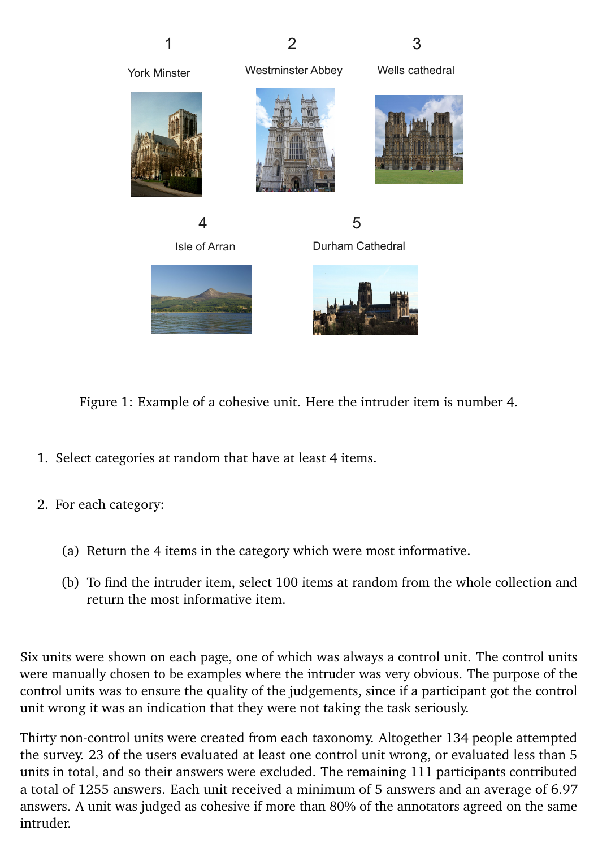York Minster Westminster Abbey Wells cathedral 4 5

Isle of Arran Durham Cathedral



<span id="page-8-0"></span>Figure 1: Example of a cohesive unit. Here the intruder item is number 4.

- 1. Select categories at random that have at least 4 items.
- 2. For each category:
	- (a) Return the 4 items in the category which were most informative.
	- (b) To find the intruder item, select 100 items at random from the whole collection and return the most informative item.

Six units were shown on each page, one of which was always a control unit. The control units were manually chosen to be examples where the intruder was very obvious. The purpose of the control units was to ensure the quality of the judgements, since if a participant got the control unit wrong it was an indication that they were not taking the task seriously.

Thirty non-control units were created from each taxonomy. Altogether 134 people attempted the survey. 23 of the users evaluated at least one control unit wrong, or evaluated less than 5 units in total, and so their answers were excluded. The remaining 111 participants contributed a total of 1255 answers. Each unit received a minimum of 5 answers and an average of 6.97 answers. A unit was judged as cohesive if more than 80% of the annotators agreed on the same intruder.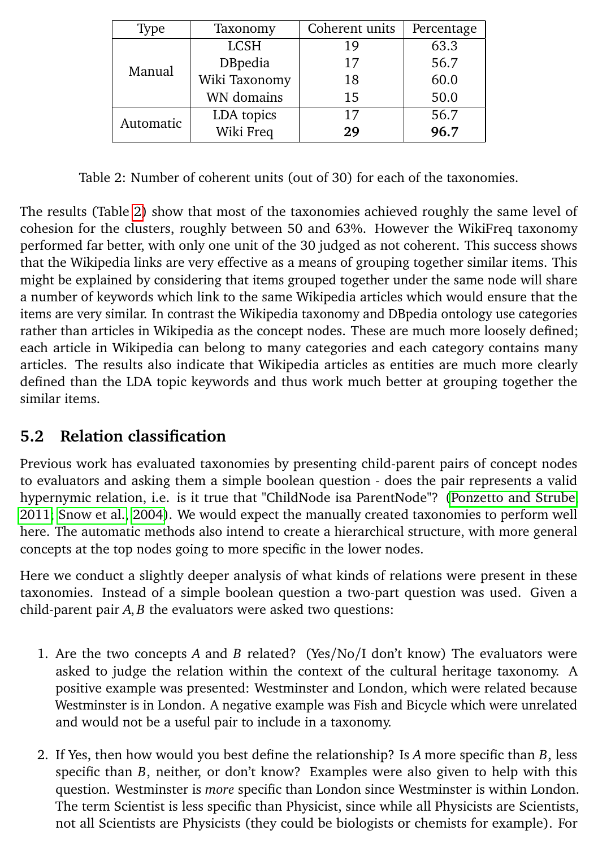| Type      | Taxonomy      | Coherent units | Percentage |  |
|-----------|---------------|----------------|------------|--|
| Manual    | <b>LCSH</b>   | 19             | 63.3       |  |
|           | DBpedia       | 17             | 56.7       |  |
|           | Wiki Taxonomy | 18             | 60.0       |  |
|           | WN domains    | 15             | 50.0       |  |
| Automatic | LDA topics    | 17             | 56.7       |  |
|           | Wiki Freq     | 29             | 96.7       |  |

<span id="page-9-0"></span>Table 2: Number of coherent units (out of 30) for each of the taxonomies.

The results (Table [2\)](#page-9-0) show that most of the taxonomies achieved roughly the same level of cohesion for the clusters, roughly between 50 and 63%. However the WikiFreq taxonomy performed far better, with only one unit of the 30 judged as not coherent. This success shows that the Wikipedia links are very effective as a means of grouping together similar items. This might be explained by considering that items grouped together under the same node will share a number of keywords which link to the same Wikipedia articles which would ensure that the items are very similar. In contrast the Wikipedia taxonomy and DBpedia ontology use categories rather than articles in Wikipedia as the concept nodes. These are much more loosely defined; each article in Wikipedia can belong to many categories and each category contains many articles. The results also indicate that Wikipedia articles as entities are much more clearly defined than the LDA topic keywords and thus work much better at grouping together the similar items.

## **5.2 Relation classification**

Previous work has evaluated taxonomies by presenting child-parent pairs of concept nodes to evaluators and asking them a simple boolean question - does the pair represents a valid hypernymic relation, i.e. is it true that "ChildNode isa ParentNode"? [\(Ponzetto and Strube,](#page-14-5) [2011;](#page-14-5) [Snow et al., 2004\)](#page-14-2). We would expect the manually created taxonomies to perform well here. The automatic methods also intend to create a hierarchical structure, with more general concepts at the top nodes going to more specific in the lower nodes.

Here we conduct a slightly deeper analysis of what kinds of relations were present in these taxonomies. Instead of a simple boolean question a two-part question was used. Given a child-parent pair *A*, *B* the evaluators were asked two questions:

- 1. Are the two concepts *A* and *B* related? (Yes/No/I don't know) The evaluators were asked to judge the relation within the context of the cultural heritage taxonomy. A positive example was presented: Westminster and London, which were related because Westminster is in London. A negative example was Fish and Bicycle which were unrelated and would not be a useful pair to include in a taxonomy.
- 2. If Yes, then how would you best define the relationship? Is *A* more specific than *B*, less specific than *B*, neither, or don't know? Examples were also given to help with this question. Westminster is *more* specific than London since Westminster is within London. The term Scientist is less specific than Physicist, since while all Physicists are Scientists, not all Scientists are Physicists (they could be biologists or chemists for example). For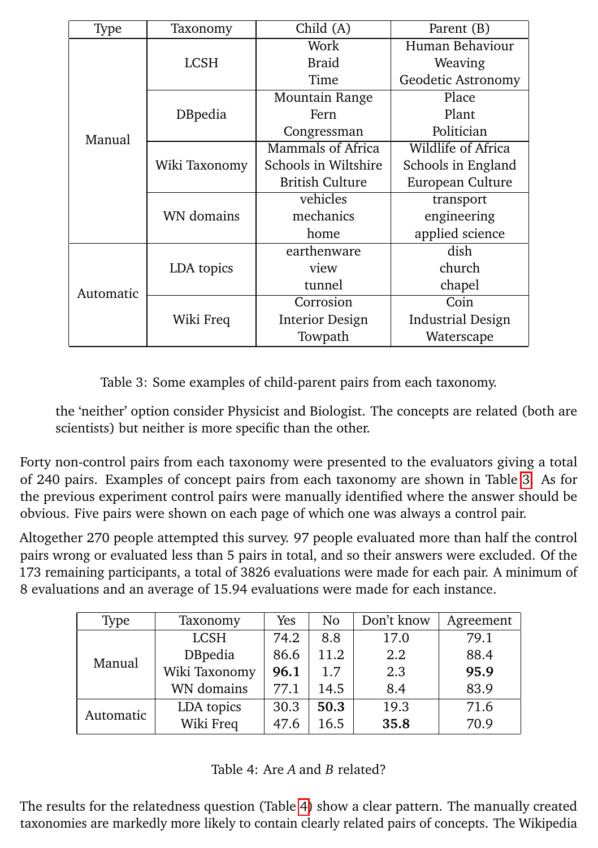| Type      | Taxonomy      | Child (A)                | Parent (B)               |  |
|-----------|---------------|--------------------------|--------------------------|--|
|           |               | Work                     | Human Behaviour          |  |
|           | LCSH          | <b>Braid</b>             | Weaving                  |  |
|           |               | Time                     | Geodetic Astronomy       |  |
|           |               | Mountain Range           | Place                    |  |
|           | DBpedia       | Fern                     | Plant                    |  |
| Manual    |               | Congressman              | Politician               |  |
|           |               | <b>Mammals of Africa</b> | Wildlife of Africa       |  |
|           | Wiki Taxonomy | Schools in Wiltshire     | Schools in England       |  |
|           |               | <b>British Culture</b>   | European Culture         |  |
|           |               | vehicles                 | transport                |  |
|           | WN domains    | mechanics                | engineering              |  |
|           |               | home                     | applied science          |  |
|           |               | earthenware              | dish                     |  |
|           | LDA topics    | view                     | church                   |  |
| Automatic |               | tunnel                   | chapel                   |  |
|           |               | Corrosion                | Coin                     |  |
|           | Wiki Freq     | Interior Design          | <b>Industrial Design</b> |  |
|           |               | Towpath                  | Waterscape               |  |

<span id="page-10-0"></span>Table 3: Some examples of child-parent pairs from each taxonomy.

the 'neither' option consider Physicist and Biologist. The concepts are related (both are scientists) but neither is more specific than the other.

Forty non-control pairs from each taxonomy were presented to the evaluators giving a total of 240 pairs. Examples of concept pairs from each taxonomy are shown in Table [3.](#page-10-0) As for the previous experiment control pairs were manually identified where the answer should be obvious. Five pairs were shown on each page of which one was always a control pair.

Altogether 270 people attempted this survey. 97 people evaluated more than half the control pairs wrong or evaluated less than 5 pairs in total, and so their answers were excluded. Of the 173 remaining participants, a total of 3826 evaluations were made for each pair. A minimum of 8 evaluations and an average of 15.94 evaluations were made for each instance.

| Type      | Taxonomy       | Yes  | N <sub>0</sub> | Don't know | Agreement |
|-----------|----------------|------|----------------|------------|-----------|
| Manual    | <b>LCSH</b>    | 74.2 | 8.8            | 17.0       | 79.1      |
|           | <b>DBpedia</b> | 86.6 | 11.2           | 2.2        | 88.4      |
|           | Wiki Taxonomy  | 96.1 | 1.7            | 2.3        | 95.9      |
|           | WN domains     | 77.1 | 14.5           | 8.4        | 83.9      |
| Automatic | LDA topics     | 30.3 | 50.3           | 19.3       | 71.6      |
|           | Wiki Freq      | 47.6 | 16.5           | 35.8       | 70.9      |

<span id="page-10-1"></span>

The results for the relatedness question (Table [4\)](#page-10-1) show a clear pattern. The manually created taxonomies are markedly more likely to contain clearly related pairs of concepts. The Wikipedia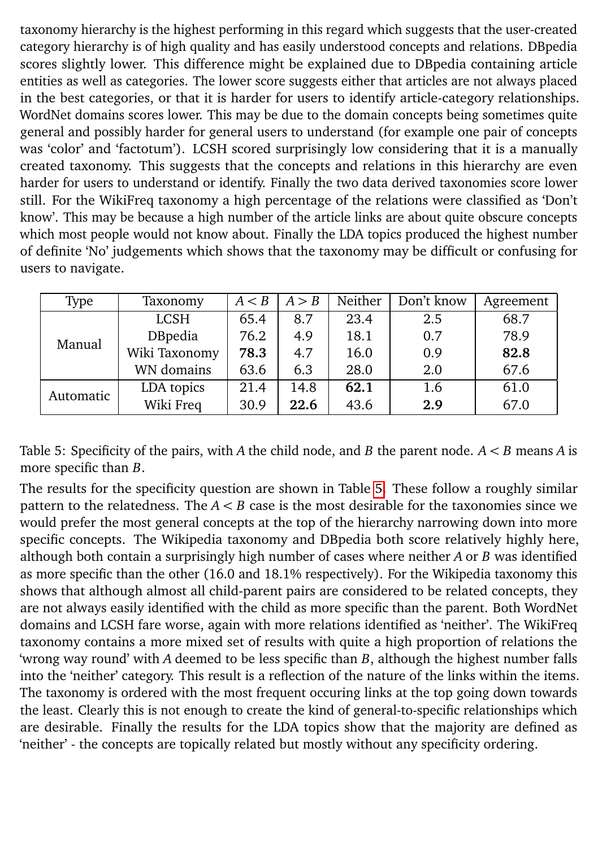taxonomy hierarchy is the highest performing in this regard which suggests that the user-created category hierarchy is of high quality and has easily understood concepts and relations. DBpedia scores slightly lower. This difference might be explained due to DBpedia containing article entities as well as categories. The lower score suggests either that articles are not always placed in the best categories, or that it is harder for users to identify article-category relationships. WordNet domains scores lower. This may be due to the domain concepts being sometimes quite general and possibly harder for general users to understand (for example one pair of concepts was 'color' and 'factotum'). LCSH scored surprisingly low considering that it is a manually created taxonomy. This suggests that the concepts and relations in this hierarchy are even harder for users to understand or identify. Finally the two data derived taxonomies score lower still. For the WikiFreq taxonomy a high percentage of the relations were classified as 'Don't know'. This may be because a high number of the article links are about quite obscure concepts which most people would not know about. Finally the LDA topics produced the highest number of definite 'No' judgements which shows that the taxonomy may be difficult or confusing for users to navigate.

| Type      | Taxonomy      | A < B | A > B | Neither | Don't know | Agreement |
|-----------|---------------|-------|-------|---------|------------|-----------|
| Manual    | LCSH          | 65.4  | 8.7   | 23.4    | 2.5        | 68.7      |
|           | DBpedia       | 76.2  | 4.9   | 18.1    | 0.7        | 78.9      |
|           | Wiki Taxonomy | 78.3  | 4.7   | 16.0    | 0.9        | 82.8      |
|           | WN domains    | 63.6  | 6.3   | 28.0    | 2.0        | 67.6      |
| Automatic | LDA topics    | 21.4  | 14.8  | 62.1    | 1.6        | 61.0      |
|           | Wiki Freq     | 30.9  | 22.6  | 43.6    | 2.9        | 67.0      |

<span id="page-11-0"></span>Table 5: Specificity of the pairs, with *A* the child node, and *B* the parent node. *A < B* means *A* is more specific than *B*.

The results for the specificity question are shown in Table [5.](#page-11-0) These follow a roughly similar pattern to the relatedness. The *A < B* case is the most desirable for the taxonomies since we would prefer the most general concepts at the top of the hierarchy narrowing down into more specific concepts. The Wikipedia taxonomy and DBpedia both score relatively highly here, although both contain a surprisingly high number of cases where neither *A* or *B* was identified as more specific than the other (16.0 and 18.1% respectively). For the Wikipedia taxonomy this shows that although almost all child-parent pairs are considered to be related concepts, they are not always easily identified with the child as more specific than the parent. Both WordNet domains and LCSH fare worse, again with more relations identified as 'neither'. The WikiFreq taxonomy contains a more mixed set of results with quite a high proportion of relations the 'wrong way round' with *A* deemed to be less specific than *B*, although the highest number falls into the 'neither' category. This result is a reflection of the nature of the links within the items. The taxonomy is ordered with the most frequent occuring links at the top going down towards the least. Clearly this is not enough to create the kind of general-to-specific relationships which are desirable. Finally the results for the LDA topics show that the majority are defined as 'neither' - the concepts are topically related but mostly without any specificity ordering.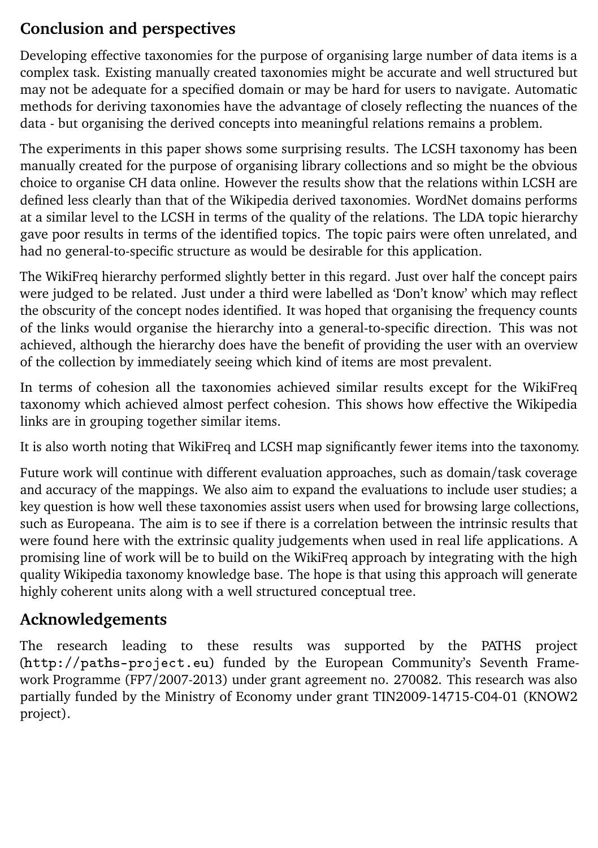## **Conclusion and perspectives**

Developing effective taxonomies for the purpose of organising large number of data items is a complex task. Existing manually created taxonomies might be accurate and well structured but may not be adequate for a specified domain or may be hard for users to navigate. Automatic methods for deriving taxonomies have the advantage of closely reflecting the nuances of the data - but organising the derived concepts into meaningful relations remains a problem.

The experiments in this paper shows some surprising results. The LCSH taxonomy has been manually created for the purpose of organising library collections and so might be the obvious choice to organise CH data online. However the results show that the relations within LCSH are defined less clearly than that of the Wikipedia derived taxonomies. WordNet domains performs at a similar level to the LCSH in terms of the quality of the relations. The LDA topic hierarchy gave poor results in terms of the identified topics. The topic pairs were often unrelated, and had no general-to-specific structure as would be desirable for this application.

The WikiFreq hierarchy performed slightly better in this regard. Just over half the concept pairs were judged to be related. Just under a third were labelled as 'Don't know' which may reflect the obscurity of the concept nodes identified. It was hoped that organising the frequency counts of the links would organise the hierarchy into a general-to-specific direction. This was not achieved, although the hierarchy does have the benefit of providing the user with an overview of the collection by immediately seeing which kind of items are most prevalent.

In terms of cohesion all the taxonomies achieved similar results except for the WikiFreq taxonomy which achieved almost perfect cohesion. This shows how effective the Wikipedia links are in grouping together similar items.

It is also worth noting that WikiFreq and LCSH map significantly fewer items into the taxonomy.

Future work will continue with different evaluation approaches, such as domain/task coverage and accuracy of the mappings. We also aim to expand the evaluations to include user studies; a key question is how well these taxonomies assist users when used for browsing large collections, such as Europeana. The aim is to see if there is a correlation between the intrinsic results that were found here with the extrinsic quality judgements when used in real life applications. A promising line of work will be to build on the WikiFreq approach by integrating with the high quality Wikipedia taxonomy knowledge base. The hope is that using this approach will generate highly coherent units along with a well structured conceptual tree.

## **Acknowledgements**

The research leading to these results was supported by the PATHS project (http://paths-project.eu) funded by the European Community's Seventh Framework Programme (FP7/2007-2013) under grant agreement no. 270082. This research was also partially funded by the Ministry of Economy under grant TIN2009-14715-C04-01 (KNOW2 project).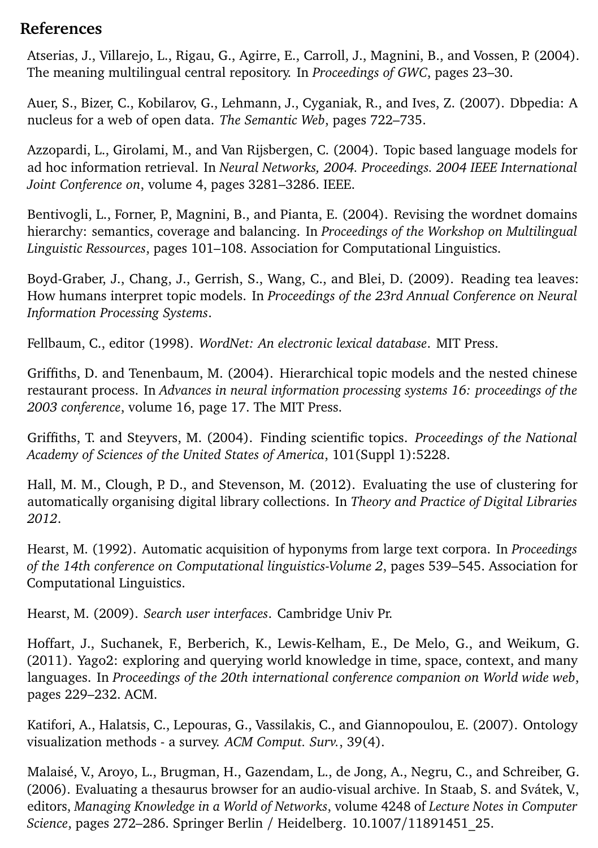#### **References**

<span id="page-13-11"></span>Atserias, J., Villarejo, L., Rigau, G., Agirre, E., Carroll, J., Magnini, B., and Vossen, P. (2004). The meaning multilingual central repository. In *Proceedings of GWC*, pages 23–30.

<span id="page-13-6"></span>Auer, S., Bizer, C., Kobilarov, G., Lehmann, J., Cyganiak, R., and Ives, Z. (2007). Dbpedia: A nucleus for a web of open data. *The Semantic Web*, pages 722–735.

<span id="page-13-13"></span>Azzopardi, L., Girolami, M., and Van Rijsbergen, C. (2004). Topic based language models for ad hoc information retrieval. In *Neural Networks, 2004. Proceedings. 2004 IEEE International Joint Conference on*, volume 4, pages 3281–3286. IEEE.

<span id="page-13-3"></span>Bentivogli, L., Forner, P., Magnini, B., and Pianta, E. (2004). Revising the wordnet domains hierarchy: semantics, coverage and balancing. In *Proceedings of the Workshop on Multilingual Linguistic Ressources*, pages 101–108. Association for Computational Linguistics.

<span id="page-13-8"></span>Boyd-Graber, J., Chang, J., Gerrish, S., Wang, C., and Blei, D. (2009). Reading tea leaves: How humans interpret topic models. In *Proceedings of the 23rd Annual Conference on Neural Information Processing Systems*.

<span id="page-13-2"></span>Fellbaum, C., editor (1998). *WordNet: An electronic lexical database*. MIT Press.

<span id="page-13-5"></span>Griffiths, D. and Tenenbaum, M. (2004). Hierarchical topic models and the nested chinese restaurant process. In *Advances in neural information processing systems 16: proceedings of the 2003 conference*, volume 16, page 17. The MIT Press.

<span id="page-13-12"></span>Griffiths, T. and Steyvers, M. (2004). Finding scientific topics. *Proceedings of the National Academy of Sciences of the United States of America*, 101(Suppl 1):5228.

<span id="page-13-9"></span>Hall, M. M., Clough, P. D., and Stevenson, M. (2012). Evaluating the use of clustering for automatically organising digital library collections. In *Theory and Practice of Digital Libraries 2012*.

<span id="page-13-4"></span>Hearst, M. (1992). Automatic acquisition of hyponyms from large text corpora. In *Proceedings of the 14th conference on Computational linguistics-Volume 2*, pages 539–545. Association for Computational Linguistics.

<span id="page-13-0"></span>Hearst, M. (2009). *Search user interfaces*. Cambridge Univ Pr.

<span id="page-13-10"></span>Hoffart, J., Suchanek, F., Berberich, K., Lewis-Kelham, E., De Melo, G., and Weikum, G. (2011). Yago2: exploring and querying world knowledge in time, space, context, and many languages. In *Proceedings of the 20th international conference companion on World wide web*, pages 229–232. ACM.

<span id="page-13-7"></span>Katifori, A., Halatsis, C., Lepouras, G., Vassilakis, C., and Giannopoulou, E. (2007). Ontology visualization methods - a survey. *ACM Comput. Surv.*, 39(4).

<span id="page-13-1"></span>Malaisé, V., Aroyo, L., Brugman, H., Gazendam, L., de Jong, A., Negru, C., and Schreiber, G. (2006). Evaluating a thesaurus browser for an audio-visual archive. In Staab, S. and Svátek, V., editors, *Managing Knowledge in a World of Networks*, volume 4248 of *Lecture Notes in Computer Science*, pages 272–286. Springer Berlin / Heidelberg. 10.1007/11891451\_25.